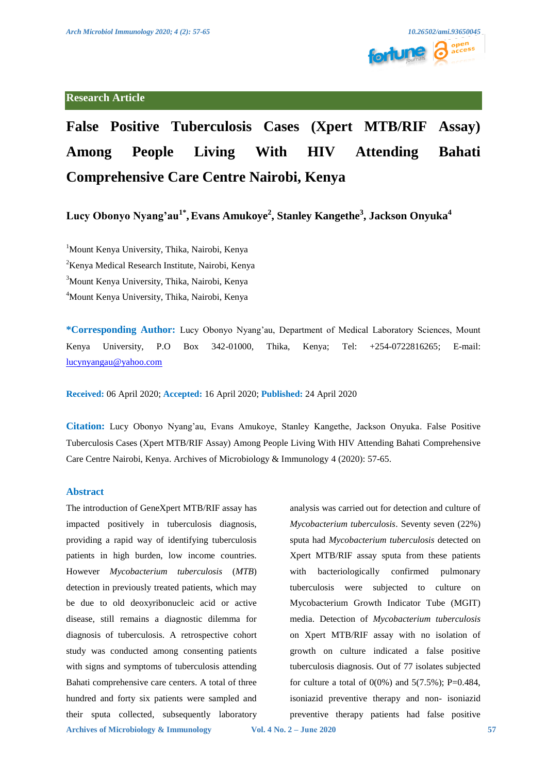

# **False Positive Tuberculosis Cases (Xpert MTB/RIF Assay) Among People Living With HIV Attending Bahati Comprehensive Care Centre Nairobi, Kenya**

**Lucy Obonyo Nyang'au1\*,Evans Amukoye2 , Stanley Kangethe<sup>3</sup> , Jackson Onyuka<sup>4</sup>**

 Mount Kenya University, Thika, Nairobi, Kenya <sup>2</sup> Kenya Medical Research Institute, Nairobi, Kenya Mount Kenya University, Thika, Nairobi, Kenya Mount Kenya University, Thika, Nairobi, Kenya

**\*Corresponding Author:** Lucy Obonyo Nyang'au, Department of Medical Laboratory Sciences, Mount Kenya University, P.O Box 342-01000, Thika, Kenya; Tel: +254-0722816265; E-mail: [lucynyangau@yahoo.com](mailto:lucynyangau@yahoo.com)

**Received:** 06 April 2020; **Accepted:** 16 April 2020; **Published:** 24 April 2020

**Citation:** Lucy Obonyo Nyang'au, Evans Amukoye, Stanley Kangethe, Jackson Onyuka. False Positive Tuberculosis Cases (Xpert MTB/RIF Assay) Among People Living With HIV Attending Bahati Comprehensive Care Centre Nairobi, Kenya. Archives of Microbiology & Immunology 4 (2020): 57-65.

# **Abstract**

The introduction of GeneXpert MTB/RIF assay has impacted positively in tuberculosis diagnosis, providing a rapid way of identifying tuberculosis patients in high burden, low income countries. However *Mycobacterium tuberculosis* (*MTB*) detection in previously treated patients, which may be due to old deoxyribonucleic acid or active disease, still remains a diagnostic dilemma for diagnosis of tuberculosis. A retrospective cohort study was conducted among consenting patients with signs and symptoms of tuberculosis attending Bahati comprehensive care centers. A total of three hundred and forty six patients were sampled and their sputa collected, subsequently laboratory

analysis was carried out for detection and culture of *Mycobacterium tuberculosis*. Seventy seven (22%) sputa had *Mycobacterium tuberculosis* detected on Xpert MTB/RIF assay sputa from these patients with bacteriologically confirmed pulmonary tuberculosis were subjected to culture on Mycobacterium Growth Indicator Tube (MGIT) media. Detection of *Mycobacterium tuberculosis*  on Xpert MTB/RIF assay with no isolation of growth on culture indicated a false positive tuberculosis diagnosis. Out of 77 isolates subjected for culture a total of  $0(0\%)$  and  $5(7.5\%)$ ; P=0.484, isoniazid preventive therapy and non- isoniazid preventive therapy patients had false positive

**Archives of Microbiology & Immunology Vol. 4 No. 2 – June 2020 57**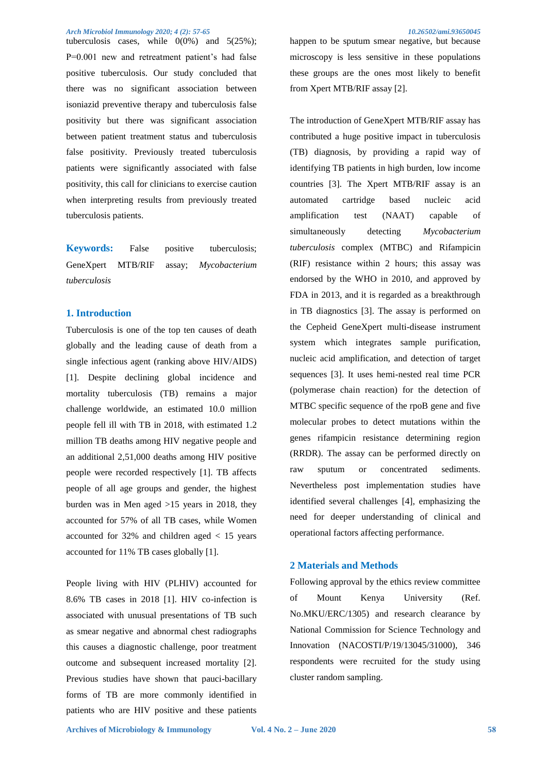tuberculosis cases, while  $0(0\%)$  and  $5(25\%)$ ; P=0.001 new and retreatment patient's had false positive tuberculosis. Our study concluded that there was no significant association between isoniazid preventive therapy and tuberculosis false positivity but there was significant association between patient treatment status and tuberculosis false positivity. Previously treated tuberculosis patients were significantly associated with false positivity, this call for clinicians to exercise caution when interpreting results from previously treated tuberculosis patients.

**Keywords:** False positive tuberculosis; GeneXpert MTB/RIF assay; *Mycobacterium tuberculosis*

# **1. Introduction**

Tuberculosis is one of the top ten causes of death globally and the leading cause of death from a single infectious agent (ranking above HIV/AIDS) [1]. Despite declining global incidence and mortality tuberculosis (TB) remains a major challenge worldwide, an estimated 10.0 million people fell ill with TB in 2018, with estimated 1.2 million TB deaths among HIV negative people and an additional 2,51,000 deaths among HIV positive people were recorded respectively [1]. TB affects people of all age groups and gender, the highest burden was in Men aged >15 years in 2018, they accounted for 57% of all TB cases, while Women accounted for 32% and children aged < 15 years accounted for 11% TB cases globally [1].

People living with HIV (PLHIV) accounted for 8.6% TB cases in 2018 [1]. HIV co-infection is associated with unusual presentations of TB such as smear negative and abnormal chest radiographs this causes a diagnostic challenge, poor treatment outcome and subsequent increased mortality [2]. Previous studies have shown that pauci-bacillary forms of TB are more commonly identified in patients who are HIV positive and these patients

happen to be sputum smear negative, but because microscopy is less sensitive in these populations these groups are the ones most likely to benefit from Xpert MTB/RIF assay [2].

The introduction of GeneXpert MTB/RIF assay has contributed a huge positive impact in tuberculosis (TB) diagnosis, by providing a rapid way of identifying TB patients in high burden, low income countries [3]. The Xpert MTB/RIF assay is an automated cartridge based nucleic acid amplification test (NAAT) capable of simultaneously detecting *Mycobacterium tuberculosis* complex (MTBC) and Rifampicin (RIF) resistance within 2 hours; this assay was endorsed by the WHO in 2010, and approved by FDA in 2013, and it is regarded as a breakthrough in TB diagnostics [3]. The assay is performed on the Cepheid GeneXpert multi-disease instrument system which integrates sample purification, nucleic acid amplification, and detection of target sequences [3]. It uses hemi-nested real time PCR (polymerase chain reaction) for the detection of MTBC specific sequence of the rpoB gene and five molecular probes to detect mutations within the genes rifampicin resistance determining region (RRDR). The assay can be performed directly on raw sputum or concentrated sediments. Nevertheless post implementation studies have identified several challenges [4], emphasizing the need for deeper understanding of clinical and operational factors affecting performance.

# **2 Materials and Methods**

Following approval by the ethics review committee of Mount Kenya University (Ref. No.MKU/ERC/1305) and research clearance by National Commission for Science Technology and Innovation (NACOSTI/P/19/13045/31000), 346 respondents were recruited for the study using cluster random sampling.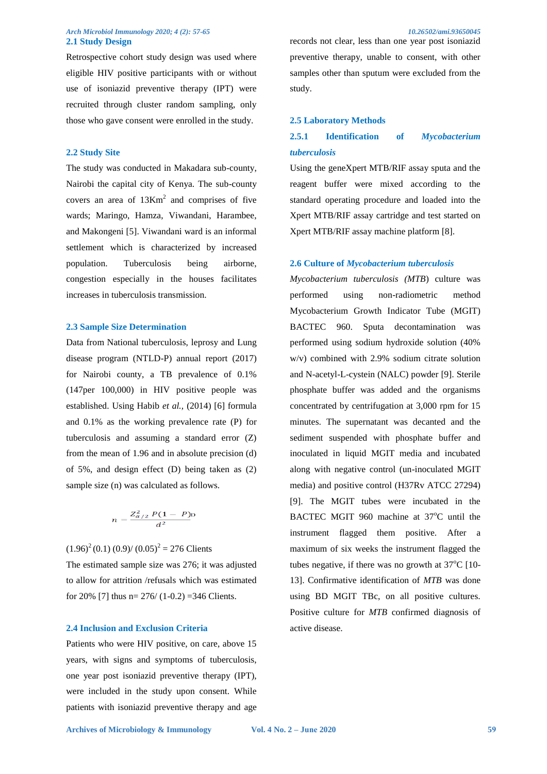# *Arch Microbiol Immunology 2020; 4 (2): 57-65 10.26502/ami.93650045*  **2.1 Study Design**

Retrospective cohort study design was used where eligible HIV positive participants with or without use of isoniazid preventive therapy (IPT) were recruited through cluster random sampling, only those who gave consent were enrolled in the study.

# **2.2 Study Site**

The study was conducted in Makadara sub-county, Nairobi the capital city of Kenya. The sub-county covers an area of  $13Km^2$  and comprises of five wards; Maringo, Hamza, Viwandani, Harambee, and Makongeni [5]. Viwandani ward is an informal settlement which is characterized by increased population. Tuberculosis being airborne, congestion especially in the houses facilitates increases in tuberculosis transmission.

# **2.3 Sample Size Determination**

Data from National tuberculosis, leprosy and Lung disease program (NTLD-P) annual report (2017) for Nairobi county, a TB prevalence of 0.1% (147per 100,000) in HIV positive people was established. Using Habib *et al.,* (2014) [6] formula and 0.1% as the working prevalence rate (P) for tuberculosis and assuming a standard error (Z) from the mean of 1.96 and in absolute precision (d) of 5%, and design effect (D) being taken as (2) sample size (n) was calculated as follows.

$$
n=\frac{Z_{\alpha/2}^2 P(1-P)}{d^2}
$$

 $(1.96)^{2}(0.1) (0.9)/(0.05)^{2} = 276$  Clients

The estimated sample size was 276; it was adjusted to allow for attrition /refusals which was estimated for 20% [7] thus  $n= 276/(1-0.2) = 346$  Clients.

# **2.4 Inclusion and Exclusion Criteria**

Patients who were HIV positive, on care, above 15 years, with signs and symptoms of tuberculosis, one year post isoniazid preventive therapy (IPT), were included in the study upon consent. While patients with isoniazid preventive therapy and age

records not clear, less than one year post isoniazid preventive therapy, unable to consent, with other samples other than sputum were excluded from the study.

#### **2.5 Laboratory Methods**

# **2.5.1 Identification of** *Mycobacterium tuberculosis*

Using the geneXpert MTB/RIF assay sputa and the reagent buffer were mixed according to the standard operating procedure and loaded into the Xpert MTB/RIF assay cartridge and test started on Xpert MTB/RIF assay machine platform [8].

# **2.6 Culture of** *Mycobacterium tuberculosis*

*Mycobacterium tuberculosis (MTB*) culture was performed using non-radiometric method Mycobacterium Growth Indicator Tube (MGIT) BACTEC 960. Sputa decontamination was performed using sodium hydroxide solution (40% w/v) combined with 2.9% sodium citrate solution and N-acetyl-L-cystein (NALC) powder [9]. Sterile phosphate buffer was added and the organisms concentrated by centrifugation at 3,000 rpm for 15 minutes. The supernatant was decanted and the sediment suspended with phosphate buffer and inoculated in liquid MGIT media and incubated along with negative control (un-inoculated MGIT media) and positive control (H37Rv ATCC 27294) [9]. The MGIT tubes were incubated in the BACTEC MGIT 960 machine at 37°C until the instrument flagged them positive. After a maximum of six weeks the instrument flagged the tubes negative, if there was no growth at  $37^{\circ}C$  [10-13]. Confirmative identification of *MTB* was done using BD MGIT TBc, on all positive cultures. Positive culture for *MTB* confirmed diagnosis of active disease.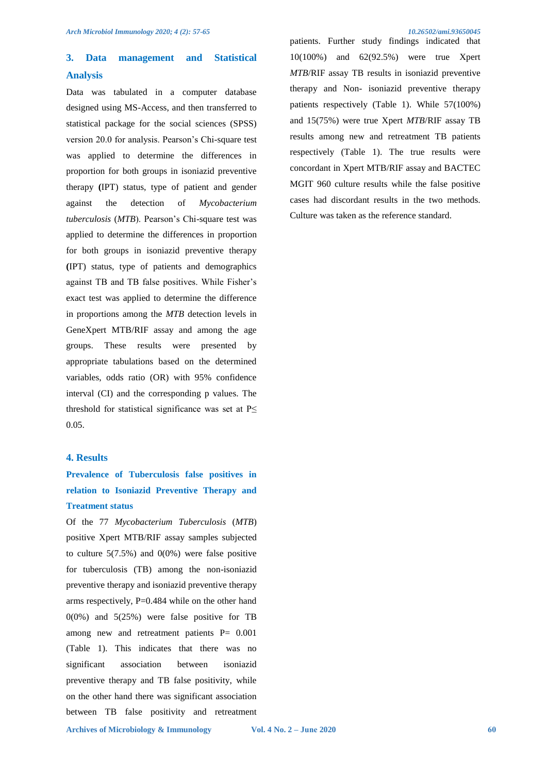# **3. Data management and Statistical Analysis**

Data was tabulated in a computer database designed using MS-Access, and then transferred to statistical package for the social sciences (SPSS) version 20.0 for analysis. Pearson's Chi-square test was applied to determine the differences in proportion for both groups in isoniazid preventive therapy **(**IPT) status, type of patient and gender against the detection of *Mycobacterium tuberculosis* (*MTB*). Pearson's Chi-square test was applied to determine the differences in proportion for both groups in isoniazid preventive therapy **(**IPT) status, type of patients and demographics against TB and TB false positives. While Fisher's exact test was applied to determine the difference in proportions among the *MTB* detection levels in GeneXpert MTB/RIF assay and among the age groups. These results were presented by appropriate tabulations based on the determined variables, odds ratio (OR) with 95% confidence interval (CI) and the corresponding p values. The threshold for statistical significance was set at  $P \leq$ 0.05.

# **4. Results**

# **Prevalence of Tuberculosis false positives in relation to Isoniazid Preventive Therapy and Treatment status**

Of the 77 *Mycobacterium Tuberculosis* (*MTB*) positive Xpert MTB/RIF assay samples subjected to culture  $5(7.5\%)$  and  $0(0\%)$  were false positive for tuberculosis (TB) among the non-isoniazid preventive therapy and isoniazid preventive therapy arms respectively, P=0.484 while on the other hand  $0(0\%)$  and  $5(25\%)$  were false positive for TB among new and retreatment patients P= 0.001 (Table 1). This indicates that there was no significant association between isoniazid preventive therapy and TB false positivity, while on the other hand there was significant association between TB false positivity and retreatment

patients. Further study findings indicated that 10(100%) and 62(92.5%) were true Xpert *MTB*/RIF assay TB results in isoniazid preventive therapy and Non- isoniazid preventive therapy patients respectively (Table 1). While 57(100%) and 15(75%) were true Xpert *MTB*/RIF assay TB results among new and retreatment TB patients respectively (Table 1). The true results were concordant in Xpert MTB/RIF assay and BACTEC MGIT 960 culture results while the false positive cases had discordant results in the two methods. Culture was taken as the reference standard.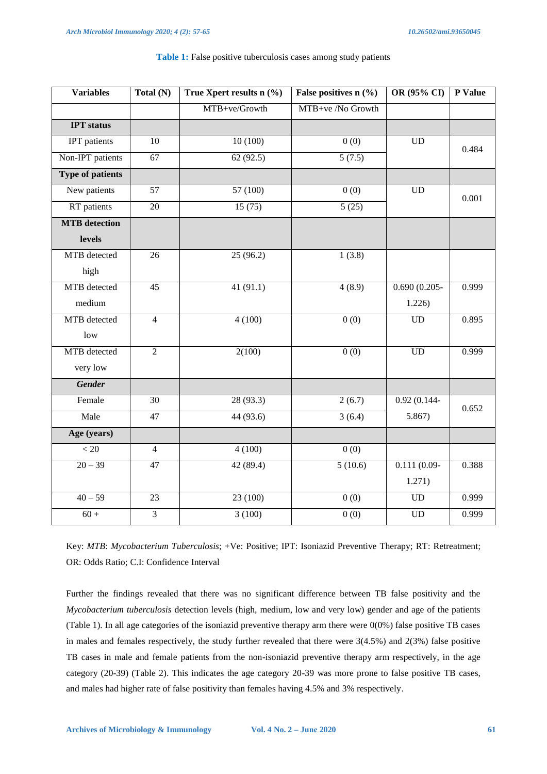| <b>Variables</b>        | Total (N)       | True Xpert results $n$ (%) | False positives $n$ (%) | OR (95% CI)     | P Value |
|-------------------------|-----------------|----------------------------|-------------------------|-----------------|---------|
|                         |                 | MTB+ve/Growth              | MTB+ve /No Growth       |                 |         |
| <b>IPT</b> status       |                 |                            |                         |                 |         |
| <b>IPT</b> patients     | 10              | 10(100)                    | 0(0)                    | $\rm UD$        | 0.484   |
| Non-IPT patients        | $\overline{67}$ | 62(92.5)                   | 5(7.5)                  |                 |         |
| <b>Type of patients</b> |                 |                            |                         |                 |         |
| New patients            | 57              | 57(100)                    | $\overline{0(0)}$       | <b>UD</b>       | 0.001   |
| RT patients             | $20\,$          | 15(75)                     | 5(25)                   |                 |         |
| <b>MTB</b> detection    |                 |                            |                         |                 |         |
| levels                  |                 |                            |                         |                 |         |
| MTB detected            | $\overline{26}$ | 25(96.2)                   | 1(3.8)                  |                 |         |
| high                    |                 |                            |                         |                 |         |
| MTB detected            | 45              | 41(91.1)                   | 4(8.9)                  | $0.690(0.205 -$ | 0.999   |
| medium                  |                 |                            |                         | 1.226           |         |
| MTB detected            | $\overline{4}$  | 4(100)                     | $\overline{0(0)}$       | UD              | 0.895   |
| low                     |                 |                            |                         |                 |         |
| MTB detected            | $\overline{2}$  | 2(100)                     | 0(0)                    | $\rm UD$        | 0.999   |
| very low                |                 |                            |                         |                 |         |
| <b>Gender</b>           |                 |                            |                         |                 |         |
| Female                  | $\overline{30}$ | 28(93.3)                   | 2(6.7)                  | $0.92(0.144 -$  | 0.652   |
| Male                    | 47              | 44 (93.6)                  | 3(6.4)                  | 5.867           |         |
| Age (years)             |                 |                            |                         |                 |         |
| $< 20$                  | $\overline{4}$  | 4(100)                     | $\overline{0(0)}$       |                 |         |
| $20 - 39$               | 47              | 42(89.4)                   | 5(10.6)                 | $0.111(0.09-$   | 0.388   |
|                         |                 |                            |                         | 1.271)          |         |
| $40 - 59$               | 23              | 23(100)                    | $\overline{0(0)}$       | $\rm UD$        | 0.999   |
| $60 +$                  | $\overline{3}$  | 3(100)                     | $\overline{0(0)}$       | $\overline{UD}$ | 0.999   |

# **Table 1:** False positive tuberculosis cases among study patients

Key: *MTB*: *Mycobacterium Tuberculosis*; +Ve: Positive; IPT: Isoniazid Preventive Therapy; RT: Retreatment; OR: Odds Ratio; C.I: Confidence Interval

Further the findings revealed that there was no significant difference between TB false positivity and the *Mycobacterium tuberculosis* detection levels (high, medium, low and very low) gender and age of the patients (Table 1). In all age categories of the isoniazid preventive therapy arm there were 0(0%) false positive TB cases in males and females respectively, the study further revealed that there were  $3(4.5%)$  and  $2(3%)$  false positive TB cases in male and female patients from the non-isoniazid preventive therapy arm respectively, in the age category (20-39) (Table 2). This indicates the age category 20-39 was more prone to false positive TB cases, and males had higher rate of false positivity than females having 4.5% and 3% respectively.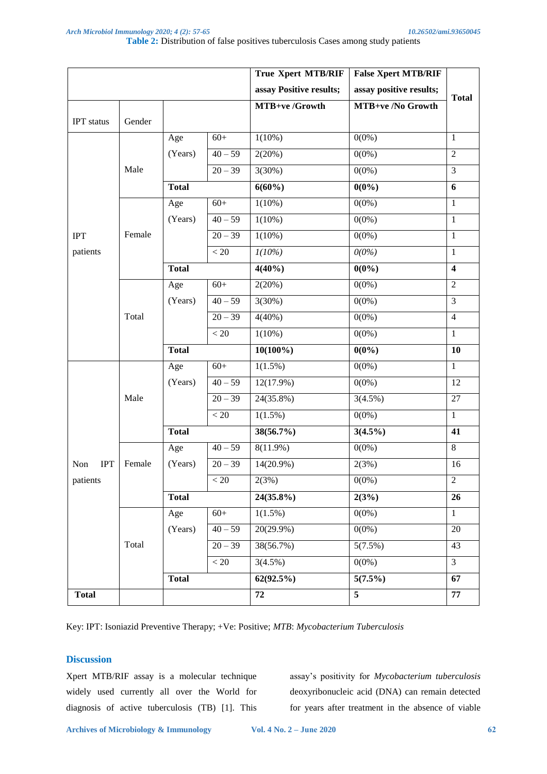|                               |        |              |           | <b>True Xpert MTB/RIF</b> | <b>False Xpert MTB/RIF</b> |                         |  |
|-------------------------------|--------|--------------|-----------|---------------------------|----------------------------|-------------------------|--|
|                               |        |              |           | assay Positive results;   | assay positive results;    |                         |  |
|                               |        |              |           | MTB+ve/Growth             | MTB+ve /No Growth          | <b>Total</b>            |  |
| <b>IPT</b> status             | Gender |              |           |                           |                            |                         |  |
|                               | Male   | Age          | $60+$     | $1(10\%)$                 | $0(0\%)$                   | $\mathbf{1}$            |  |
|                               |        | (Years)      | $40 - 59$ | 2(20%)                    | $0(0\%)$                   | $\overline{2}$          |  |
|                               |        |              | $20 - 39$ | 3(30%)                    | $0(0\%)$                   | $\overline{3}$          |  |
|                               |        | <b>Total</b> |           | $6(60\%)$                 | $0(0\%)$                   | 6                       |  |
|                               |        | Age          | $60+$     | $1(10\%)$                 | $0(0\%)$                   | $\mathbf{1}$            |  |
|                               |        | (Years)      | $40 - 59$ | $1(10\%)$                 | $0(0\%)$                   | $\mathbf{1}$            |  |
| <b>IPT</b>                    | Female |              | $20 - 39$ | $1(10\%)$                 | $0(0\%)$                   | $\mathbf{1}$            |  |
| patients                      |        |              | < 20      | $1(10\%)$                 | 0(0%)                      | $\mathbf{1}$            |  |
|                               |        | <b>Total</b> |           | $4(40\%)$                 | $0(0\%)$                   | $\overline{\mathbf{4}}$ |  |
|                               | Total  | Age          | $60+$     | 2(20%)                    | $0(0\%)$                   | $\overline{2}$          |  |
|                               |        | (Years)      | $40 - 59$ | 3(30%)                    | $0(0\%)$                   | $\overline{3}$          |  |
|                               |        |              | $20 - 39$ | $4(40\%)$                 | $0(0\%)$                   | $\overline{4}$          |  |
|                               |        |              | < 20      | $1(10\%)$                 | $0(0\%)$                   | $\mathbf{1}$            |  |
|                               |        | <b>Total</b> |           | $10(100\%)$               | $0(0\%)$                   | 10                      |  |
| <b>IPT</b><br>Non<br>patients |        | Age          | $60+$     | $1(1.5\%)$                | $0(0\%)$                   | $\overline{1}$          |  |
|                               | Male   | (Years)      | $40 - 59$ | $12(17.9\%)$              | $0(0\%)$                   | 12                      |  |
|                               |        |              | $20 - 39$ | 24(35.8%)                 | 3(4.5%)                    | 27                      |  |
|                               |        |              | $< 20$    | $1(1.5\%)$                | $0(0\%)$                   | $\mathbf{1}$            |  |
|                               |        | <b>Total</b> |           | 38(56.7%)                 | $3(4.5\%)$                 | 41                      |  |
|                               | Female | Age          | $40 - 59$ | $8(11.9\%)$               | $0(0\%)$                   | 8                       |  |
|                               |        | (Years)      | $20 - 39$ | $14(20.9\%)$              | 2(3%)                      | 16                      |  |
|                               |        |              | $< 20\,$  | 2(3%)                     | $0(0\%)$                   | $\sqrt{2}$              |  |
|                               |        | <b>Total</b> |           | 24(35.8%)                 | 2(3%)                      | 26                      |  |
|                               | Total  | Age          | $60+$     | $1(1.5\%)$                | $0(0\%)$                   | $\mathbf{1}$            |  |
|                               |        | (Years)      | $40 - 59$ | $20(29.9\%)$              | $0(0\%)$                   | $\overline{20}$         |  |
|                               |        |              | $20 - 39$ | 38(56.7%)                 | 5(7.5%)                    | 43                      |  |
|                               |        |              | $< 20\,$  | 3(4.5%)                   | $0(0\%)$                   | $\overline{3}$          |  |
|                               |        | <b>Total</b> |           | 62(92.5%)                 | 5(7.5%)                    | 67                      |  |
| <b>Total</b>                  |        |              |           | 72                        | 5                          | 77                      |  |

Key: IPT: Isoniazid Preventive Therapy; +Ve: Positive; *MTB*: *Mycobacterium Tuberculosis* 

# **Discussion**

Xpert MTB/RIF assay is a molecular technique widely used currently all over the World for diagnosis of active tuberculosis (TB) [1]. This

assay's positivity for *Mycobacterium tuberculosis* deoxyribonucleic acid (DNA) can remain detected for years after treatment in the absence of viable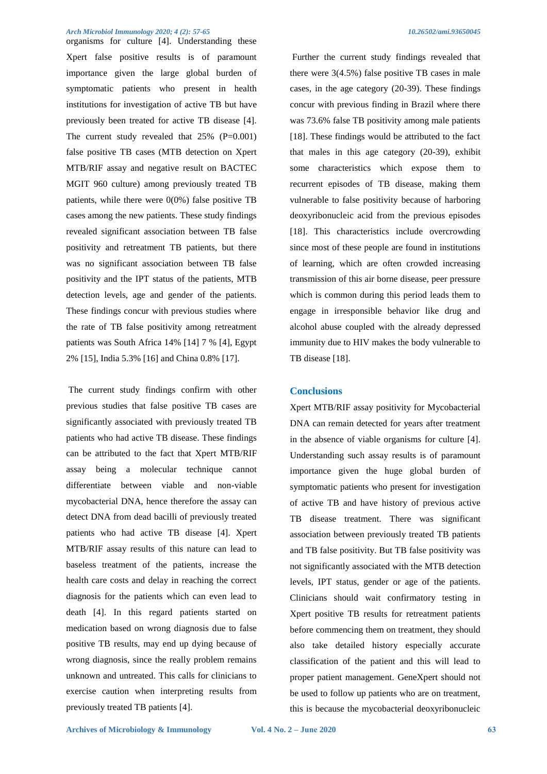organisms for culture [4]. Understanding these Xpert false positive results is of paramount importance given the large global burden of symptomatic patients who present in health institutions for investigation of active TB but have previously been treated for active TB disease [4]. The current study revealed that  $25\%$  (P=0.001) false positive TB cases (MTB detection on Xpert MTB/RIF assay and negative result on BACTEC MGIT 960 culture) among previously treated TB patients, while there were  $0(0\%)$  false positive TB cases among the new patients. These study findings revealed significant association between TB false positivity and retreatment TB patients, but there was no significant association between TB false positivity and the IPT status of the patients, MTB detection levels, age and gender of the patients. These findings concur with previous studies where the rate of TB false positivity among retreatment patients was South Africa 14% [14] 7 % [4], Egypt 2% [15], India 5.3% [16] and China 0.8% [17].

The current study findings confirm with other previous studies that false positive TB cases are significantly associated with previously treated TB patients who had active TB disease. These findings can be attributed to the fact that Xpert MTB/RIF assay being a molecular technique cannot differentiate between viable and non-viable mycobacterial DNA, hence therefore the assay can detect DNA from dead bacilli of previously treated patients who had active TB disease [4]. Xpert MTB/RIF assay results of this nature can lead to baseless treatment of the patients, increase the health care costs and delay in reaching the correct diagnosis for the patients which can even lead to death [4]. In this regard patients started on medication based on wrong diagnosis due to false positive TB results, may end up dying because of wrong diagnosis, since the really problem remains unknown and untreated. This calls for clinicians to exercise caution when interpreting results from previously treated TB patients [4].

Further the current study findings revealed that there were 3(4.5%) false positive TB cases in male cases, in the age category (20-39). These findings concur with previous finding in Brazil where there was 73.6% false TB positivity among male patients [18]. These findings would be attributed to the fact that males in this age category (20-39), exhibit some characteristics which expose them to recurrent episodes of TB disease, making them vulnerable to false positivity because of harboring deoxyribonucleic acid from the previous episodes [18]. This characteristics include overcrowding since most of these people are found in institutions of learning, which are often crowded increasing transmission of this air borne disease, peer pressure which is common during this period leads them to engage in irresponsible behavior like drug and alcohol abuse coupled with the already depressed immunity due to HIV makes the body vulnerable to TB disease [18].

# **Conclusions**

Xpert MTB/RIF assay positivity for Mycobacterial DNA can remain detected for years after treatment in the absence of viable organisms for culture [4]. Understanding such assay results is of paramount importance given the huge global burden of symptomatic patients who present for investigation of active TB and have history of previous active TB disease treatment. There was significant association between previously treated TB patients and TB false positivity. But TB false positivity was not significantly associated with the MTB detection levels, IPT status, gender or age of the patients. Clinicians should wait confirmatory testing in Xpert positive TB results for retreatment patients before commencing them on treatment, they should also take detailed history especially accurate classification of the patient and this will lead to proper patient management. GeneXpert should not be used to follow up patients who are on treatment, this is because the mycobacterial deoxyribonucleic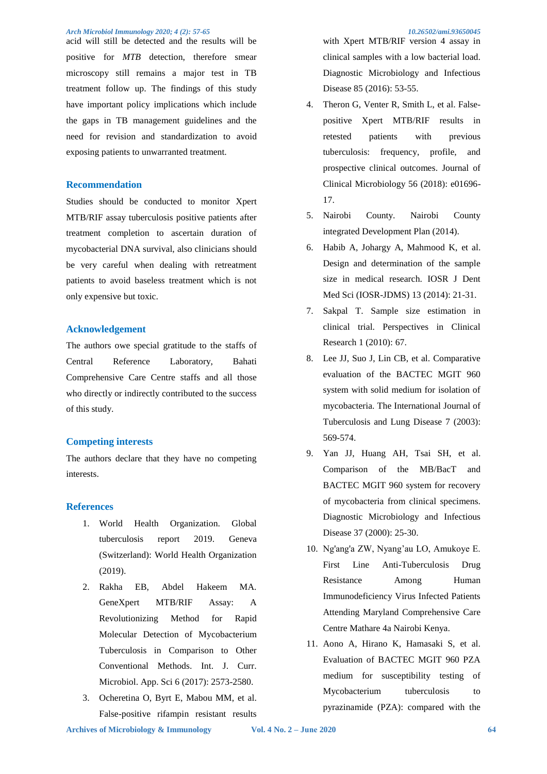acid will still be detected and the results will be positive for *MTB* detection, therefore smear microscopy still remains a major test in TB treatment follow up. The findings of this study have important policy implications which include the gaps in TB management guidelines and the need for revision and standardization to avoid exposing patients to unwarranted treatment.

# **Recommendation**

Studies should be conducted to monitor Xpert MTB/RIF assay tuberculosis positive patients after treatment completion to ascertain duration of mycobacterial DNA survival, also clinicians should be very careful when dealing with retreatment patients to avoid baseless treatment which is not only expensive but toxic.

# **Acknowledgement**

The authors owe special gratitude to the staffs of Central Reference Laboratory, Bahati Comprehensive Care Centre staffs and all those who directly or indirectly contributed to the success of this study.

# **Competing interests**

The authors declare that they have no competing interests.

# **References**

- 1. World Health Organization. Global tuberculosis report 2019. Geneva (Switzerland): World Health Organization (2019).
- 2. Rakha EB, Abdel Hakeem MA. GeneXpert MTB/RIF Assay: A Revolutionizing Method for Rapid Molecular Detection of Mycobacterium Tuberculosis in Comparison to Other Conventional Methods. Int. J. Curr. Microbiol. App. Sci 6 (2017): 2573-2580.
- 3. Ocheretina O, Byrt E, Mabou MM, et al. False-positive rifampin resistant results

with Xpert MTB/RIF version 4 assay in clinical samples with a low bacterial load. Diagnostic Microbiology and Infectious Disease 85 (2016): 53-55.

- 4. Theron G, Venter R, Smith L, et al. Falsepositive Xpert MTB/RIF results in retested patients with previous tuberculosis: frequency, profile, and prospective clinical outcomes. Journal of Clinical Microbiology 56 (2018): e01696- 17.
- 5. Nairobi County. Nairobi County integrated Development Plan (2014).
- 6. Habib A, Johargy A, Mahmood K, et al. Design and determination of the sample size in medical research. IOSR J Dent Med Sci (IOSR-JDMS) 13 (2014): 21-31.
- 7. Sakpal T. Sample size estimation in clinical trial. Perspectives in Clinical Research 1 (2010): 67.
- 8. Lee JJ, Suo J, Lin CB, et al. Comparative evaluation of the BACTEC MGIT 960 system with solid medium for isolation of mycobacteria. The International Journal of Tuberculosis and Lung Disease 7 (2003): 569-574.
- 9. Yan JJ, Huang AH, Tsai SH, et al. Comparison of the MB/BacT and BACTEC MGIT 960 system for recovery of mycobacteria from clinical specimens. Diagnostic Microbiology and Infectious Disease 37 (2000): 25-30.
- 10. Ng'ang'a ZW, Nyang'au LO, Amukoye E. First Line Anti-Tuberculosis Drug Resistance Among Human Immunodeficiency Virus Infected Patients Attending Maryland Comprehensive Care Centre Mathare 4a Nairobi Kenya.
- 11. Aono A, Hirano K, Hamasaki S, et al. Evaluation of BACTEC MGIT 960 PZA medium for susceptibility testing of Mycobacterium tuberculosis to pyrazinamide (PZA): compared with the